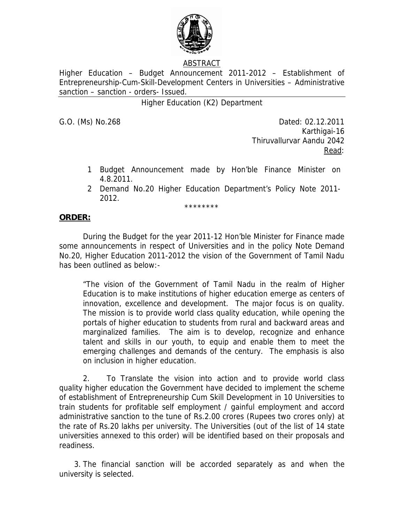

# ABSTRACT

Higher Education – Budget Announcement 2011-2012 – Establishment of Entrepreneurship-Cum-Skill-Development Centers in Universities – Administrative sanction – sanction - orders- Issued.

# Higher Education (K2) Department

G.O. (Ms) No.268 Dated: 02.12.2011 Karthigai-16 Thiruvallurvar Aandu 2042 <u>Read</u>: the contract of the contract of the Read:

- 1 Budget Announcement made by Hon'ble Finance Minister on 4.8.2011.
- 2 Demand No.20 Higher Education Department's Policy Note 2011- 2012.

\*\*\*\*\*\*\*\*

### **ORDER:**

 During the Budget for the year 2011-12 Hon'ble Minister for Finance made some announcements in respect of Universities and in the policy Note Demand No.20, Higher Education 2011-2012 the vision of the Government of Tamil Nadu has been outlined as below:-

"The vision of the Government of Tamil Nadu in the realm of Higher Education is to make institutions of higher education emerge as centers of innovation, excellence and development. The major focus is on quality. The mission is to provide world class quality education, while opening the portals of higher education to students from rural and backward areas and marginalized families. The aim is to develop, recognize and enhance talent and skills in our youth, to equip and enable them to meet the emerging challenges and demands of the century. The emphasis is also on inclusion in higher education.

2. To Translate the vision into action and to provide world class quality higher education the Government have decided to implement the scheme of establishment of Entrepreneurship Cum Skill Development in 10 Universities to train students for profitable self employment / gainful employment and accord administrative sanction to the tune of Rs.2.00 crores (Rupees two crores only) at the rate of Rs.20 lakhs per university. The Universities (out of the list of 14 state universities annexed to this order) will be identified based on their proposals and readiness.

 3. The financial sanction will be accorded separately as and when the university is selected.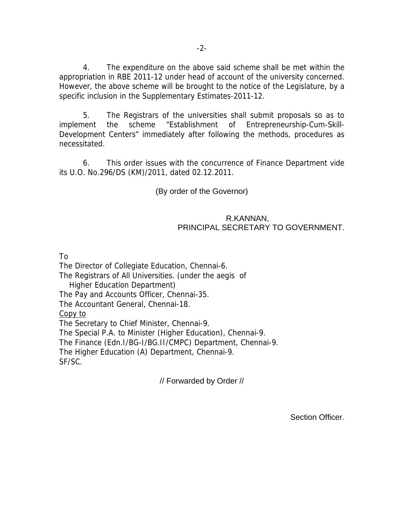4. The expenditure on the above said scheme shall be met within the appropriation in RBE 2011-12 under head of account of the university concerned. However, the above scheme will be brought to the notice of the Legislature, by a specific inclusion in the Supplementary Estimates-2011-12.

 5. The Registrars of the universities shall submit proposals so as to implement the scheme "Establishment of Entrepreneurship-Cum-Skill-Development Centers" immediately after following the methods, procedures as necessitated.

 6. This order issues with the concurrence of Finance Department vide its U.O. No.296/DS (KM)/2011, dated 02.12.2011.

(By order of the Governor)

## R.KANNAN, PRINCIPAL SECRETARY TO GOVERNMENT.

To

The Director of Collegiate Education, Chennai-6. The Registrars of All Universities. (under the aegis of Higher Education Department) The Pay and Accounts Officer, Chennai-35. The Accountant General, Chennai-18. Copy to The Secretary to Chief Minister, Chennai-9. The Special P.A. to Minister (Higher Education), Chennai-9. The Finance (Edn.I/BG-I/BG.II/CMPC) Department, Chennai-9. The Higher Education (A) Department, Chennai-9. SF/SC.

// Forwarded by Order //

Section Officer.